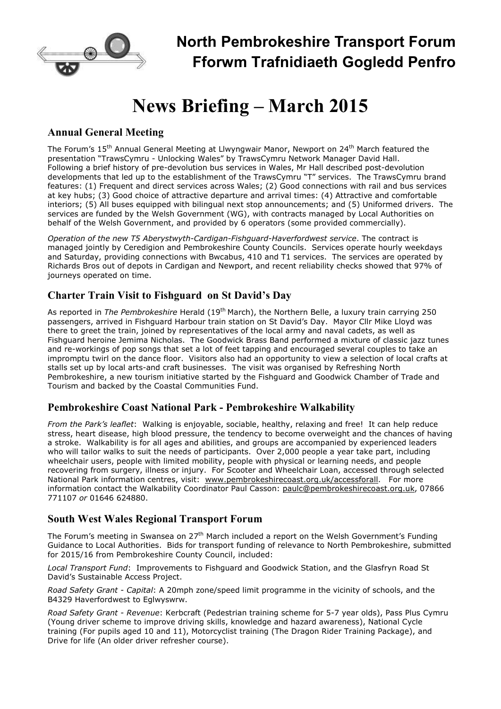

# **News Briefing – March 2015**

# **Annual General Meeting**

The Forum's 15<sup>th</sup> Annual General Meeting at Llwyngwair Manor, Newport on 24<sup>th</sup> March featured the presentation "TrawsCymru - Unlocking Wales" by TrawsCymru Network Manager David Hall. Following a brief history of pre-devolution bus services in Wales, Mr Hall described post-devolution developments that led up to the establishment of the TrawsCymru "T" services. The TrawsCymru brand features: (1) Frequent and direct services across Wales; (2) Good connections with rail and bus services at key hubs; (3) Good choice of attractive departure and arrival times: (4) Attractive and comfortable interiors; (5) All buses equipped with bilingual next stop announcements; and (5) Uniformed drivers. The services are funded by the Welsh Government (WG), with contracts managed by Local Authorities on behalf of the Welsh Government, and provided by 6 operators (some provided commercially).

*Operation of the new T5 Aberystwyth-Cardigan-Fishguard-Haverfordwest service*. The contract is managed jointly by Ceredigion and Pembrokeshire County Councils. Services operate hourly weekdays and Saturday, providing connections with Bwcabus, 410 and T1 services. The services are operated by Richards Bros out of depots in Cardigan and Newport, and recent reliability checks showed that 97% of journeys operated on time.

# **Charter Train Visit to Fishguard on St David's Day**

As reported in *The Pembrokeshire* Herald (19<sup>th</sup> March), the Northern Belle, a luxury train carrying 250 passengers, arrived in Fishguard Harbour train station on St David's Day. Mayor Cllr Mike Lloyd was there to greet the train, joined by representatives of the local army and naval cadets, as well as Fishguard heroine Jemima Nicholas. The Goodwick Brass Band performed a mixture of classic jazz tunes and re-workings of pop songs that set a lot of feet tapping and encouraged several couples to take an impromptu twirl on the dance floor. Visitors also had an opportunity to view a selection of local crafts at stalls set up by local arts-and craft businesses. The visit was organised by Refreshing North Pembrokeshire, a new tourism initiative started by the Fishguard and Goodwick Chamber of Trade and Tourism and backed by the Coastal Communities Fund.

## **Pembrokeshire Coast National Park - Pembrokeshire Walkability**

*From the Park's leaflet*: Walking is enjoyable, sociable, healthy, relaxing and free! It can help reduce stress, heart disease, high blood pressure, the tendency to become overweight and the chances of having a stroke. Walkability is for all ages and abilities, and groups are accompanied by experienced leaders who will tailor walks to suit the needs of participants. Over 2,000 people a year take part, including wheelchair users, people with limited mobility, people with physical or learning needs, and people recovering from surgery, illness or injury. For Scooter and Wheelchair Loan, accessed through selected National Park information centres, visit: www.pembrokeshirecoast.org.uk/accessforall. For more information contact the Walkability Coordinator Paul Casson: paulc@pembrokeshirecoast.org.uk, 07866 771107 *or* 01646 624880.

## **South West Wales Regional Transport Forum**

The Forum's meeting in Swansea on 27<sup>th</sup> March included a report on the Welsh Government's Funding Guidance to Local Authorities. Bids for transport funding of relevance to North Pembrokeshire, submitted for 2015/16 from Pembrokeshire County Council, included:

*Local Transport Fund*: Improvements to Fishguard and Goodwick Station, and the Glasfryn Road St David's Sustainable Access Project.

*Road Safety Grant - Capital*: A 20mph zone/speed limit programme in the vicinity of schools, and the B4329 Haverfordwest to Eglwyswrw.

*Road Safety Grant - Revenue*: Kerbcraft (Pedestrian training scheme for 5-7 year olds), Pass Plus Cymru (Young driver scheme to improve driving skills, knowledge and hazard awareness), National Cycle training (For pupils aged 10 and 11), Motorcyclist training (The Dragon Rider Training Package), and Drive for life (An older driver refresher course).